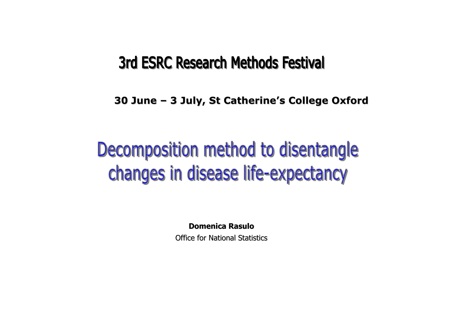# **3rd ESRC Research Methods Festival**

**30 June 30 June – 3 July, St Catherine 3 July, St Catherine's College Oxford s College Oxford**

# Decomposition method to disentangle changes in disease life-expectancy

**Domenica Domenica Rasulo**

Office for National Statistics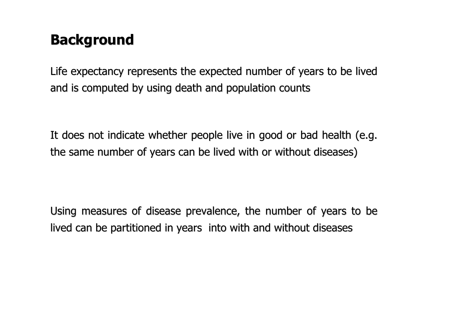# **Background Background**

Life expectancy represents the expected number of years to be lived and is computed by using death and population counts

It does not indicate whether people live in good or bad health (e.g. the same number of years can be lived with or without diseases)

Using measures of disease prevalence, the number of years to be lived can be partitioned in years into with and without diseases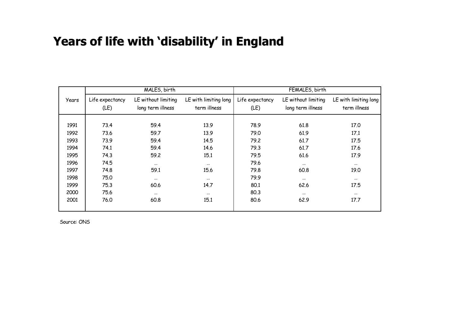#### **Years of life with Years of life with 'disability disability' in England in England**

|       |                 | MALES, birth        |                       | FEMALES, birth  |                     |                       |  |  |
|-------|-----------------|---------------------|-----------------------|-----------------|---------------------|-----------------------|--|--|
| Years | Life expectancy | LE without limiting | LE with limiting long | Life expectancy | LE without limiting | LE with limiting long |  |  |
|       | (LE)            | long term illness   | term illness          | (LE)            | long term illness   | term illness          |  |  |
|       |                 |                     |                       |                 |                     |                       |  |  |
| 1991  | 73.4            | 59.4                | 13.9                  | 78.9            | 61.8                | 17.0                  |  |  |
| 1992  | 73.6            | 59.7                | 13.9                  | 79.0            | 61.9                | 17.1                  |  |  |
| 1993  | 73.9            | 59.4                | 14.5                  | 79.2            | 61.7                | 17.5                  |  |  |
| 1994  | 74.1            | 59.4                | 14.6                  | 79.3            | 61.7                | 17.6                  |  |  |
| 1995  | 74.3            | 59.2                | 15.1                  | 79.5            | 61.6                | 17.9                  |  |  |
| 1996  | 74.5            | $\cdots$            | $\cdots$              | 79.6            | $\cdots$            | $\cdots$              |  |  |
| 1997  | 74.8            | 59.1                | 15.6                  | 79.8            | 60.8                | 19.0                  |  |  |
| 1998  | 75.0            | $\cdots$            | $\cdots$              | 79.9            | $\cdots$            | $\cdots$              |  |  |
| 1999  | 75.3            | 60.6                | 14.7                  | 80.1            | 62.6                | 17.5                  |  |  |
| 2000  | 75.6            | $\cdots$            | $\cdots$              | 80.3            | $\cdots$            | $\cdots$              |  |  |
| 2001  | 76.0            | 60.8                | 15.1                  | 80.6            | 62.9                | 17.7                  |  |  |
|       |                 |                     |                       |                 |                     |                       |  |  |

Source: ONS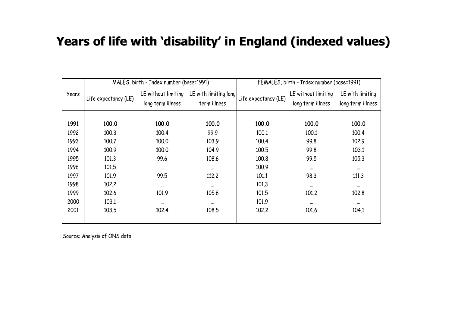#### **Years of life with Years of life with 'disability disability' in England (indexed values) in England (indexed values)**

|       |                      | MALES, birth - Index number (base=1991)  |                                       | FEMALES, birth - Index number (base=1991) |                                          |                                       |  |  |
|-------|----------------------|------------------------------------------|---------------------------------------|-------------------------------------------|------------------------------------------|---------------------------------------|--|--|
| Years | Life expectancy (LE) | LE without limiting<br>long term illness | LE with limiting long<br>term illness | Life expectancy (LE)                      | LE without limiting<br>long term illness | LE with limiting<br>long term illness |  |  |
| 1991  | 100.0                | 100.0                                    | 100.0                                 | 100.0                                     | 100.0                                    | 100.0                                 |  |  |
| 1992  | 100.3                | 100.4                                    | 99.9                                  | 100.1                                     | 100.1                                    | 100.4                                 |  |  |
| 1993  | 100.7                | 100.0                                    | 103.9                                 | 100.4                                     | 99.8                                     | 102.9                                 |  |  |
| 1994  | 100.9                | 100.0                                    | 104.9                                 | 100.5                                     | 99.8                                     | 103.1                                 |  |  |
| 1995  | 101.3                | 99.6                                     | 108.6                                 | 100.8                                     | 99.5                                     | 105.3                                 |  |  |
| 1996  | 101.5                | $\cdots$                                 | $\cdots$                              | 100.9                                     | $\cdots$                                 | $\cdots$                              |  |  |
| 1997  | 101.9                | 99.5                                     | 112.2                                 | 101.1                                     | 98.3                                     | 111.3                                 |  |  |
| 1998  | 102.2                | $\cdots$                                 | $\cdots$                              | 101.3                                     | $\cdots$                                 | $\cdots$                              |  |  |
| 1999  | 102.6                | 101.9                                    | 105.6                                 | 101.5                                     | 101.2                                    | 102.8                                 |  |  |
| 2000  | 103.1                | $\cdots$                                 | $\cdots$                              | 101.9                                     | $\cdots$                                 | $\cdots$                              |  |  |
| 2001  | 103.5                | 102.4                                    | 108.5                                 | 102.2                                     | 101.6                                    | 104.1                                 |  |  |

Source: Analysis of ONS data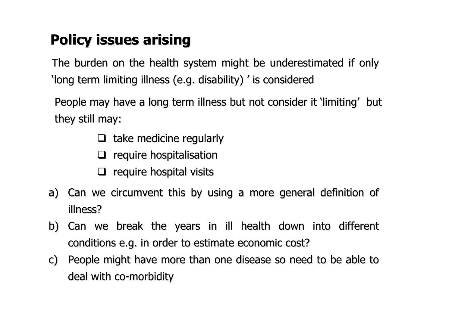# **Policy issues arising Policy issues arising**

The burden on the health system might be underestimated if only 'long term limiting illness (e.g. disability) ' is considered

People may have a long term illness but not consider it 'limiting' but they still may:

- $\Box$  take medicine regularly
- $\Box$  require hospitalisation
- $\Box$  require hospital visits
- a) Can we circumvent this by using a more general definition of illness?
- b) Can we break the years in ill health down into different conditions e.g. in order to estimate economic cost?
- c) People might have more than one disease so need to be able to deal with co-morbidity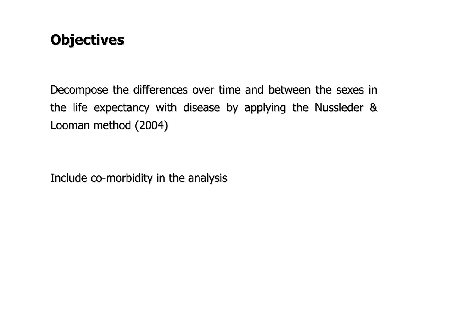# **Objectives Objectives**

Decompose the differences over time and between the sexes in the life expectancy with disease by applying the Nussleder  $\&$ Looman method (2004)

Include co-morbidity in the analysis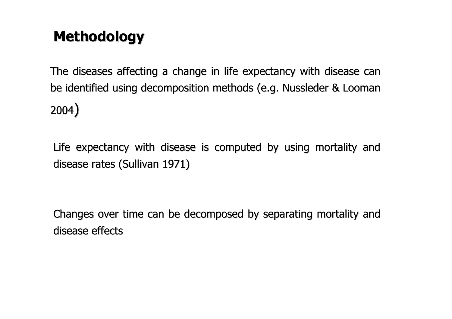# **Methodology Methodology**

The diseases affecting a change in life expectancy with disease can be identified using decomposition methods (e.g. Nussleder & Looman 2004)

Life expectancy with disease is computed by using mortality and disease rates (Sullivan 1971)

Changes over time can be decomposed by separating mortality and disease effects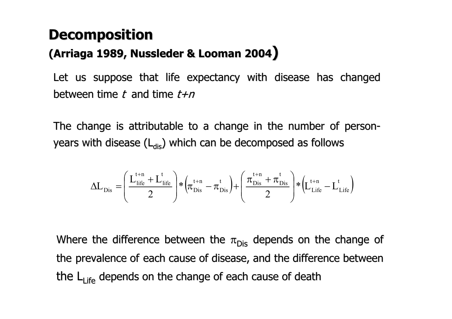# **Decomposition**

#### **(Arriaga Arriaga1989, Nussleder Nussleder& Looman 2004)**

Let us suppose that life expectancy with disease has changed between time t and time  $t+n$ 

The change is attributable to a change in the number of personyears with disease  $(L_{dis})$  which can be decomposed as follows

$$
\Delta L_{\mathrm{Dis}}=\left(\frac{L_{\mathrm{life}}^{\mathrm{t+n}}+L_{\mathrm{life}}^{\mathrm{t}}}{2}\right)*\left(\!\pi_{\mathrm{Dis}}^{\mathrm{t+n}}-\pi_{\mathrm{Dis}}^{\mathrm{t}}\right)+\left(\frac{\pi_{\mathrm{Dis}}^{\mathrm{t+n}}+\pi_{\mathrm{Dis}}^{\mathrm{t}}}{2}\right)*\left(\!L_{\mathrm{Life}}^{\mathrm{t+n}}-L_{\mathrm{Life}}^{\mathrm{t}}\right)
$$

Where the difference between the  $\pi_{\mathsf{Dis}}$  depends on the change of the prevalence of each cause of disease, and the difference between the L<sub>Life</sub> depends on the change of each cause of death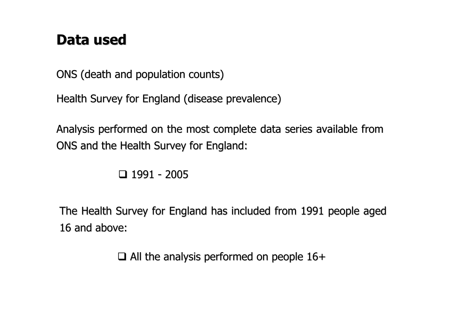### **Data used Data used**

ONS (death and population counts)

Health Survey for England (disease prevalence)

Analysis performed on the most complete data series available from ONS and the Health Survey for England:

1991 - 2005

The Health Survey for England has included from 1991 people aged 16 and above:

 $\Box$  All the analysis performed on people 16+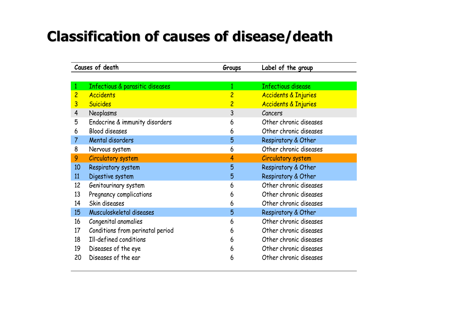# **Classification of causes of disease/death Classification of causes of disease/death**

|                | Causes of death                  | Groups         | Label of the group              |
|----------------|----------------------------------|----------------|---------------------------------|
|                |                                  |                |                                 |
| 1              | Infectious & parasitic diseases  | 1              | <b>Infectious disease</b>       |
| $\overline{c}$ | <b>Accidents</b>                 | $\overline{c}$ | <b>Accidents &amp; Injuries</b> |
| 3              | <b>Suicides</b>                  | $\overline{c}$ | <b>Accidents &amp; Injuries</b> |
| $\overline{4}$ | <b>Neoplasms</b>                 | 3              | Cancers                         |
| 5              | Endocrine & immunity disorders   | 6              | Other chronic diseases          |
| 6              | <b>Blood diseases</b>            | 6              | Other chronic diseases          |
| $\overline{7}$ | Mental disorders                 | 5              | Respiratory & Other             |
| 8              | Nervous system                   | 6              | Other chronic diseases          |
| 9              | Circulatory system               | 4              | <b>Circulatory system</b>       |
| 10             | Respiratory system               | 5              | Respiratory & Other             |
| 11             | Digestive system                 | 5              | Respiratory & Other             |
| 12             | Genitourinary system             | 6              | Other chronic diseases          |
| 13             | Pregnancy complications          | 6              | Other chronic diseases          |
| 14             | Skin diseases                    | 6              | Other chronic diseases          |
| 15             | Musculoskeletal diseases         | 5              | Respiratory & Other             |
| 16             | Congenital anomalies             | 6              | Other chronic diseases          |
| 17             | Conditions from perinatal period | 6              | Other chronic diseases          |
| 18             | Ill-defined conditions           | 6              | Other chronic diseases          |
| 19             | Diseases of the eye              | 6              | Other chronic diseases          |
| 20             | Diseases of the ear              | 6              | Other chronic diseases          |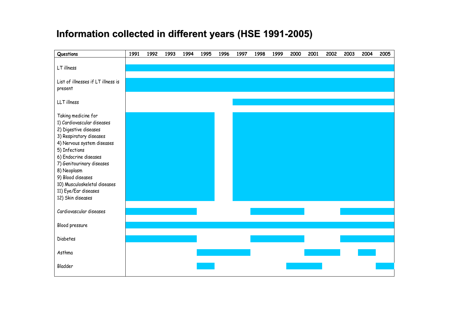#### **Information collected in different years (HSE 1991 Information collected in different years (HSE 1991 -2005)**

| Questions                                           | 1991 | 1992 | 1993 | 1994 | 1995 | 1996 | 1997 | 1998 | 1999 | 2000 | 2001 | 2002 | 2003 | 2004 | 2005 |
|-----------------------------------------------------|------|------|------|------|------|------|------|------|------|------|------|------|------|------|------|
|                                                     |      |      |      |      |      |      |      |      |      |      |      |      |      |      |      |
| LT illness                                          |      |      |      |      |      |      |      |      |      |      |      |      |      |      |      |
| List of illnesses if LT illness is                  |      |      |      |      |      |      |      |      |      |      |      |      |      |      |      |
| present                                             |      |      |      |      |      |      |      |      |      |      |      |      |      |      |      |
|                                                     |      |      |      |      |      |      |      |      |      |      |      |      |      |      |      |
| LLT illness                                         |      |      |      |      |      |      |      |      |      |      |      |      |      |      |      |
|                                                     |      |      |      |      |      |      |      |      |      |      |      |      |      |      |      |
| Taking medicine for                                 |      |      |      |      |      |      |      |      |      |      |      |      |      |      |      |
| 1) Cardiovascular diseases<br>2) Digestive diseases |      |      |      |      |      |      |      |      |      |      |      |      |      |      |      |
| 3) Respiratory diseases                             |      |      |      |      |      |      |      |      |      |      |      |      |      |      |      |
| 4) Nervous system diseases                          |      |      |      |      |      |      |      |      |      |      |      |      |      |      |      |
| 5) Infections                                       |      |      |      |      |      |      |      |      |      |      |      |      |      |      |      |
| 6) Endocrine diseases                               |      |      |      |      |      |      |      |      |      |      |      |      |      |      |      |
| 7) Genitourinary diseases                           |      |      |      |      |      |      |      |      |      |      |      |      |      |      |      |
| 8) Neoplasm                                         |      |      |      |      |      |      |      |      |      |      |      |      |      |      |      |
| 9) Blood diseases                                   |      |      |      |      |      |      |      |      |      |      |      |      |      |      |      |
| 10) Musculoskeletal diseases                        |      |      |      |      |      |      |      |      |      |      |      |      |      |      |      |
| 11) Eye/Ear diseases                                |      |      |      |      |      |      |      |      |      |      |      |      |      |      |      |
| 12) Skin diseases                                   |      |      |      |      |      |      |      |      |      |      |      |      |      |      |      |
| Cardiovascular diseases                             |      |      |      |      |      |      |      |      |      |      |      |      |      |      |      |
|                                                     |      |      |      |      |      |      |      |      |      |      |      |      |      |      |      |
| Blood pressure                                      |      |      |      |      |      |      |      |      |      |      |      |      |      |      |      |
|                                                     |      |      |      |      |      |      |      |      |      |      |      |      |      |      |      |
| <b>Diabetes</b>                                     |      |      |      |      |      |      |      |      |      |      |      |      |      |      |      |
| Asthma                                              |      |      |      |      |      |      |      |      |      |      |      |      |      |      |      |
|                                                     |      |      |      |      |      |      |      |      |      |      |      |      |      |      |      |
| Bladder                                             |      |      |      |      |      |      |      |      |      |      |      |      |      |      |      |
|                                                     |      |      |      |      |      |      |      |      |      |      |      |      |      |      |      |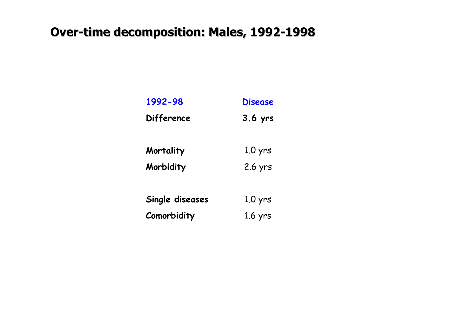#### **Over-time decomposition: Males, 1992-1998**

| 1992-98           | <b>Disease</b> |
|-------------------|----------------|
| <b>Difference</b> | $3.6$ yrs      |
|                   |                |
| Mortality         | $1.0$ yrs      |
| Morbidity         | 2.6 yrs        |
|                   |                |
| Single diseases   | $1.0$ yrs      |
| Comorbidity       | $1.6$ yrs      |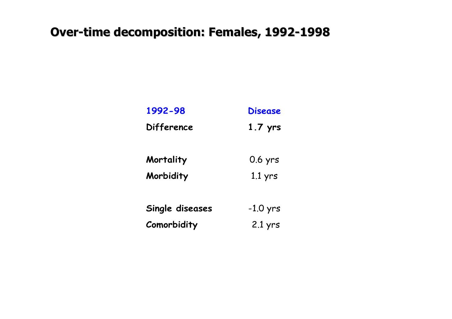#### **Over-time decomposition: Females, 1992-1998**

| 1992-98         | <b>Disease</b> |
|-----------------|----------------|
| Difference      | $1.7$ yrs      |
|                 |                |
| Mortality       | 0.6 yrs        |
| Morbidity       | $1.1$ yrs      |
|                 |                |
| Single diseases | $-1.0$ yrs     |
| Comorbidity     | $2.1$ yrs      |